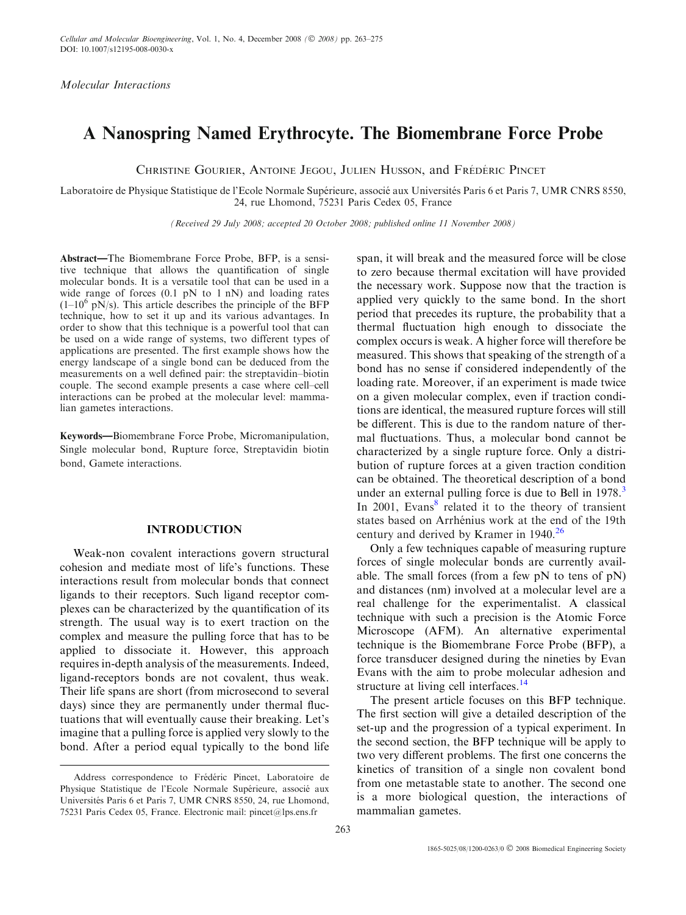Molecular Interactions

# A Nanospring Named Erythrocyte. The Biomembrane Force Probe

CHRISTINE GOURIER, ANTOINE JEGOU, JULIEN HUSSON, and FRÉDÉRIC PINCET

Laboratoire de Physique Statistique de l'Ecole Normale Supérieure, associé aux Universités Paris 6 et Paris 7, UMR CNRS 8550, 24, rue Lhomond, 75231 Paris Cedex 05, France

(Received 29 July 2008; accepted 20 October 2008; published online 11 November 2008)

Abstract—The Biomembrane Force Probe, BFP, is a sensitive technique that allows the quantification of single molecular bonds. It is a versatile tool that can be used in a wide range of forces (0.1 pN to 1 nN) and loading rates  $(1-10^6 \text{ pN/s})$ . This article describes the principle of the BFP technique, how to set it up and its various advantages. In order to show that this technique is a powerful tool that can be used on a wide range of systems, two different types of applications are presented. The first example shows how the energy landscape of a single bond can be deduced from the measurements on a well defined pair: the streptavidin–biotin couple. The second example presents a case where cell–cell interactions can be probed at the molecular level: mammalian gametes interactions.

Keywords—Biomembrane Force Probe, Micromanipulation, Single molecular bond, Rupture force, Streptavidin biotin bond, Gamete interactions.

#### INTRODUCTION

Weak-non covalent interactions govern structural cohesion and mediate most of life's functions. These interactions result from molecular bonds that connect ligands to their receptors. Such ligand receptor complexes can be characterized by the quantification of its strength. The usual way is to exert traction on the complex and measure the pulling force that has to be applied to dissociate it. However, this approach requires in-depth analysis of the measurements. Indeed, ligand-receptors bonds are not covalent, thus weak. Their life spans are short (from microsecond to several days) since they are permanently under thermal fluctuations that will eventually cause their breaking. Let's imagine that a pulling force is applied very slowly to the bond. After a period equal typically to the bond life span, it will break and the measured force will be close to zero because thermal excitation will have provided the necessary work. Suppose now that the traction is applied very quickly to the same bond. In the short period that precedes its rupture, the probability that a thermal fluctuation high enough to dissociate the complex occurs is weak. A higher force will therefore be measured. This shows that speaking of the strength of a bond has no sense if considered independently of the loading rate. Moreover, if an experiment is made twice on a given molecular complex, even if traction conditions are identical, the measured rupture forces will still be different. This is due to the random nature of thermal fluctuations. Thus, a molecular bond cannot be characterized by a single rupture force. Only a distribution of rupture forces at a given traction condition can be obtained. The theoretical description of a bond under an external pulling force is due to Bell in  $1978<sup>3</sup>$  $1978<sup>3</sup>$  $1978<sup>3</sup>$ In 2001, Evans<sup>[8](#page-12-0)</sup> related it to the theory of transient states based on Arrhénius work at the end of the 19th century and derived by Kramer in 1940.<sup>[26](#page-12-0)</sup>

Only a few techniques capable of measuring rupture forces of single molecular bonds are currently available. The small forces (from a few  $pN$  to tens of  $pN$ ) and distances (nm) involved at a molecular level are a real challenge for the experimentalist. A classical technique with such a precision is the Atomic Force Microscope (AFM). An alternative experimental technique is the Biomembrane Force Probe (BFP), a force transducer designed during the nineties by Evan Evans with the aim to probe molecular adhesion and structure at living cell interfaces.<sup>[14](#page-12-0)</sup>

The present article focuses on this BFP technique. The first section will give a detailed description of the set-up and the progression of a typical experiment. In the second section, the BFP technique will be apply to two very different problems. The first one concerns the kinetics of transition of a single non covalent bond from one metastable state to another. The second one is a more biological question, the interactions of mammalian gametes.

Address correspondence to Frédéric Pincet, Laboratoire de Physique Statistique de l'Ecole Normale Supérieure, associé aux Universités Paris 6 et Paris 7, UMR CNRS 8550, 24, rue Lhomond, 75231 Paris Cedex 05, France. Electronic mail: pincet@lps.ens.fr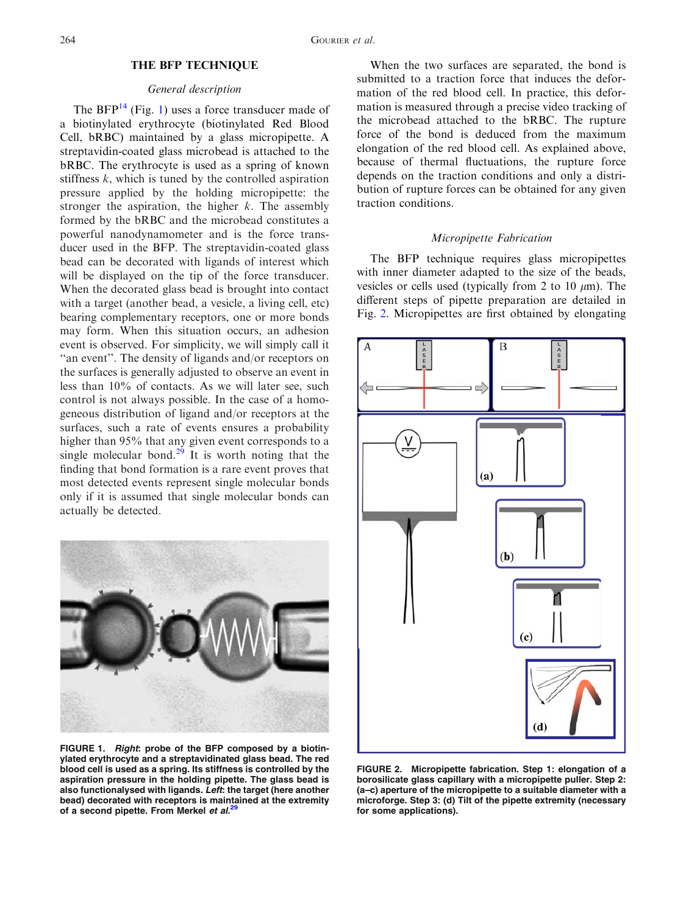# THE BFP TECHNIQUE

#### General description

<span id="page-1-0"></span>The  $BFP<sup>14</sup>$  $BFP<sup>14</sup>$  $BFP<sup>14</sup>$  (Fig. 1) uses a force transducer made of a biotinylated erythrocyte (biotinylated Red Blood Cell, bRBC) maintained by a glass micropipette. A streptavidin-coated glass microbead is attached to the bRBC. The erythrocyte is used as a spring of known stiffness  $k$ , which is tuned by the controlled aspiration pressure applied by the holding micropipette: the stronger the aspiration, the higher  $k$ . The assembly formed by the bRBC and the microbead constitutes a powerful nanodynamometer and is the force transducer used in the BFP. The streptavidin-coated glass bead can be decorated with ligands of interest which will be displayed on the tip of the force transducer. When the decorated glass bead is brought into contact with a target (another bead, a vesicle, a living cell, etc) bearing complementary receptors, one or more bonds may form. When this situation occurs, an adhesion event is observed. For simplicity, we will simply call it ''an event''. The density of ligands and/or receptors on the surfaces is generally adjusted to observe an event in less than 10% of contacts. As we will later see, such control is not always possible. In the case of a homogeneous distribution of ligand and/or receptors at the surfaces, such a rate of events ensures a probability higher than 95% that any given event corresponds to a single molecular bond. $^{29}$  $^{29}$  $^{29}$  It is worth noting that the finding that bond formation is a rare event proves that most detected events represent single molecular bonds only if it is assumed that single molecular bonds can actually be detected.



FIGURE 1. Right: probe of the BFP composed by a biotinylated erythrocyte and a streptavidinated glass bead. The red blood cell is used as a spring. Its stiffness is controlled by the aspiration pressure in the holding pipette. The glass bead is also functionalysed with ligands. Left: the target (here another bead) decorated with receptors is maintained at the extremity of a second pipette. From Merkel et al.<sup>2</sup>

When the two surfaces are separated, the bond is submitted to a traction force that induces the deformation of the red blood cell. In practice, this deformation is measured through a precise video tracking of the microbead attached to the bRBC. The rupture force of the bond is deduced from the maximum elongation of the red blood cell. As explained above, because of thermal fluctuations, the rupture force depends on the traction conditions and only a distribution of rupture forces can be obtained for any given traction conditions.

#### Micropipette Fabrication

The BFP technique requires glass micropipettes with inner diameter adapted to the size of the beads, vesicles or cells used (typically from 2 to 10  $\mu$ m). The different steps of pipette preparation are detailed in Fig. 2. Micropipettes are first obtained by elongating



FIGURE 2. Micropipette fabrication. Step 1: elongation of a borosilicate glass capillary with a micropipette puller. Step 2: (a–c) aperture of the micropipette to a suitable diameter with a microforge. Step 3: (d) Tilt of the pipette extremity (necessary for some applications).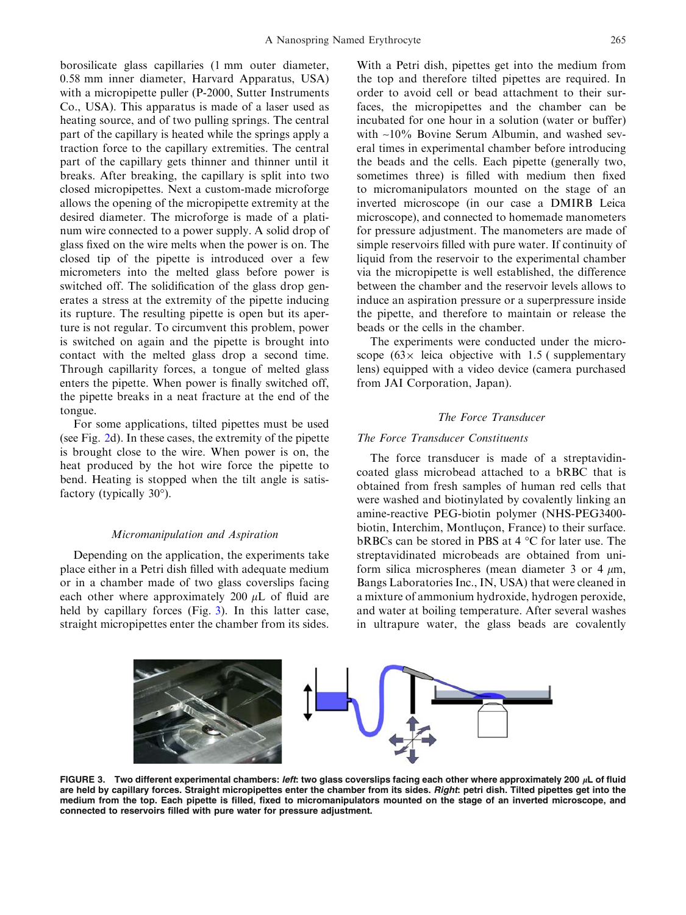borosilicate glass capillaries (1 mm outer diameter, 0.58 mm inner diameter, Harvard Apparatus, USA) with a micropipette puller (P-2000, Sutter Instruments Co., USA). This apparatus is made of a laser used as heating source, and of two pulling springs. The central part of the capillary is heated while the springs apply a traction force to the capillary extremities. The central part of the capillary gets thinner and thinner until it breaks. After breaking, the capillary is split into two closed micropipettes. Next a custom-made microforge allows the opening of the micropipette extremity at the desired diameter. The microforge is made of a platinum wire connected to a power supply. A solid drop of glass fixed on the wire melts when the power is on. The closed tip of the pipette is introduced over a few micrometers into the melted glass before power is switched off. The solidification of the glass drop generates a stress at the extremity of the pipette inducing its rupture. The resulting pipette is open but its aperture is not regular. To circumvent this problem, power is switched on again and the pipette is brought into contact with the melted glass drop a second time. Through capillarity forces, a tongue of melted glass enters the pipette. When power is finally switched off, the pipette breaks in a neat fracture at the end of the tongue.

For some applications, tilted pipettes must be used (see Fig. [2](#page-1-0)d). In these cases, the extremity of the pipette is brought close to the wire. When power is on, the heat produced by the hot wire force the pipette to bend. Heating is stopped when the tilt angle is satisfactory (typically 30°).

#### Micromanipulation and Aspiration

Depending on the application, the experiments take place either in a Petri dish filled with adequate medium or in a chamber made of two glass coverslips facing each other where approximately 200  $\mu$ L of fluid are held by capillary forces (Fig. 3). In this latter case, straight micropipettes enter the chamber from its sides. With a Petri dish, pipettes get into the medium from the top and therefore tilted pipettes are required. In order to avoid cell or bead attachment to their surfaces, the micropipettes and the chamber can be incubated for one hour in a solution (water or buffer) with ~10% Bovine Serum Albumin, and washed several times in experimental chamber before introducing the beads and the cells. Each pipette (generally two, sometimes three) is filled with medium then fixed to micromanipulators mounted on the stage of an inverted microscope (in our case a DMIRB Leica microscope), and connected to homemade manometers for pressure adjustment. The manometers are made of simple reservoirs filled with pure water. If continuity of liquid from the reservoir to the experimental chamber via the micropipette is well established, the difference between the chamber and the reservoir levels allows to induce an aspiration pressure or a superpressure inside the pipette, and therefore to maintain or release the beads or the cells in the chamber.

The experiments were conducted under the microscope  $(63 \times$  leica objective with 1.5 ( supplementary lens) equipped with a video device (camera purchased from JAI Corporation, Japan).

#### The Force Transducer

#### The Force Transducer Constituents

The force transducer is made of a streptavidincoated glass microbead attached to a bRBC that is obtained from fresh samples of human red cells that were washed and biotinylated by covalently linking an amine-reactive PEG-biotin polymer (NHS-PEG3400 biotin, Interchim, Montlucon, France) to their surface.  $bRBCs$  can be stored in PBS at 4  $°C$  for later use. The streptavidinated microbeads are obtained from uniform silica microspheres (mean diameter 3 or 4  $\mu$ m, Bangs Laboratories Inc., IN, USA) that were cleaned in a mixture of ammonium hydroxide, hydrogen peroxide, and water at boiling temperature. After several washes in ultrapure water, the glass beads are covalently



FIGURE 3. Two different experimental chambers: left: two glass coverslips facing each other where approximately 200  $\mu$ L of fluid are held by capillary forces. Straight micropipettes enter the chamber from its sides. Right: petri dish. Tilted pipettes get into the medium from the top. Each pipette is filled, fixed to micromanipulators mounted on the stage of an inverted microscope, and connected to reservoirs filled with pure water for pressure adjustment.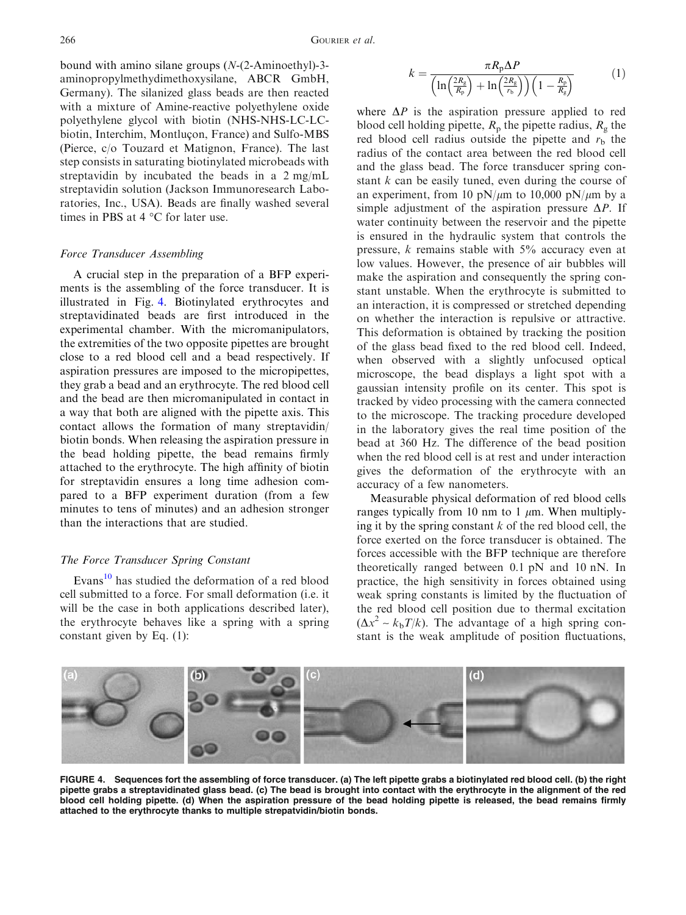bound with amino silane groups (N-(2-Aminoethyl)-3 aminopropylmethydimethoxysilane, ABCR GmbH, Germany). The silanized glass beads are then reacted with a mixture of Amine-reactive polyethylene oxide polyethylene glycol with biotin (NHS-NHS-LC-LCbiotin, Interchim, Montluçon, France) and Sulfo-MBS (Pierce, c/o Touzard et Matignon, France). The last step consists in saturating biotinylated microbeads with streptavidin by incubated the beads in a 2 mg/mL streptavidin solution (Jackson Immunoresearch Laboratories, Inc., USA). Beads are finally washed several times in PBS at  $4^{\circ}$ C for later use.

#### Force Transducer Assembling

A crucial step in the preparation of a BFP experiments is the assembling of the force transducer. It is illustrated in Fig. 4. Biotinylated erythrocytes and streptavidinated beads are first introduced in the experimental chamber. With the micromanipulators, the extremities of the two opposite pipettes are brought close to a red blood cell and a bead respectively. If aspiration pressures are imposed to the micropipettes, they grab a bead and an erythrocyte. The red blood cell and the bead are then micromanipulated in contact in a way that both are aligned with the pipette axis. This contact allows the formation of many streptavidin/ biotin bonds. When releasing the aspiration pressure in the bead holding pipette, the bead remains firmly attached to the erythrocyte. The high affinity of biotin for streptavidin ensures a long time adhesion compared to a BFP experiment duration (from a few minutes to tens of minutes) and an adhesion stronger than the interactions that are studied.

## The Force Transducer Spring Constant

Evans<sup>[10](#page-12-0)</sup> has studied the deformation of a red blood cell submitted to a force. For small deformation (i.e. it will be the case in both applications described later), the erythrocyte behaves like a spring with a spring constant given by Eq. (1):

$$
k = \frac{\pi R_{\rm p} \Delta P}{\left(\ln\left(\frac{2R_{\rm g}}{R_{\rm p}}\right) + \ln\left(\frac{2R_{\rm g}}{r_{\rm b}}\right)\right)\left(1 - \frac{R_{\rm p}}{R_{\rm g}}\right)}\tag{1}
$$

where  $\Delta P$  is the aspiration pressure applied to red blood cell holding pipette,  $R_p$  the pipette radius,  $R_g$  the red blood cell radius outside the pipette and  $r<sub>b</sub>$  the radius of the contact area between the red blood cell and the glass bead. The force transducer spring constant  $k$  can be easily tuned, even during the course of an experiment, from 10 pN/ $\mu$ m to 10,000 pN/ $\mu$ m by a simple adjustment of the aspiration pressure  $\Delta P$ . If water continuity between the reservoir and the pipette is ensured in the hydraulic system that controls the pressure, k remains stable with  $5\%$  accuracy even at low values. However, the presence of air bubbles will make the aspiration and consequently the spring constant unstable. When the erythrocyte is submitted to an interaction, it is compressed or stretched depending on whether the interaction is repulsive or attractive. This deformation is obtained by tracking the position of the glass bead fixed to the red blood cell. Indeed, when observed with a slightly unfocused optical microscope, the bead displays a light spot with a gaussian intensity profile on its center. This spot is tracked by video processing with the camera connected to the microscope. The tracking procedure developed in the laboratory gives the real time position of the bead at 360 Hz. The difference of the bead position when the red blood cell is at rest and under interaction gives the deformation of the erythrocyte with an accuracy of a few nanometers.

Measurable physical deformation of red blood cells ranges typically from 10 nm to 1  $\mu$ m. When multiplying it by the spring constant  $k$  of the red blood cell, the force exerted on the force transducer is obtained. The forces accessible with the BFP technique are therefore theoretically ranged between 0.1 pN and 10 nN. In practice, the high sensitivity in forces obtained using weak spring constants is limited by the fluctuation of the red blood cell position due to thermal excitation  $(\Delta x^2 \sim k_b T/k)$ . The advantage of a high spring constant is the weak amplitude of position fluctuations,



FIGURE 4. Sequences fort the assembling of force transducer. (a) The left pipette grabs a biotinylated red blood cell. (b) the right pipette grabs a streptavidinated glass bead. (c) The bead is brought into contact with the erythrocyte in the alignment of the red blood cell holding pipette. (d) When the aspiration pressure of the bead holding pipette is released, the bead remains firmly attached to the erythrocyte thanks to multiple strepatvidin/biotin bonds.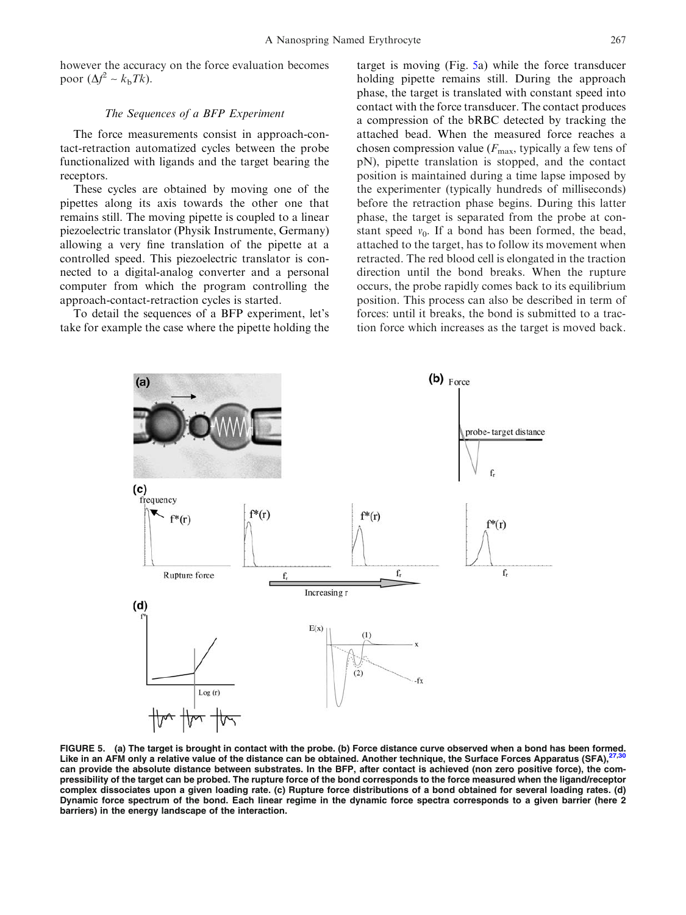<span id="page-4-0"></span>however the accuracy on the force evaluation becomes poor  $(\Delta f^2 \sim k_\text{b} T k)$ .

# The Sequences of a BFP Experiment

The force measurements consist in approach-contact-retraction automatized cycles between the probe functionalized with ligands and the target bearing the receptors.

These cycles are obtained by moving one of the pipettes along its axis towards the other one that remains still. The moving pipette is coupled to a linear piezoelectric translator (Physik Instrumente, Germany) allowing a very fine translation of the pipette at a controlled speed. This piezoelectric translator is connected to a digital-analog converter and a personal computer from which the program controlling the approach-contact-retraction cycles is started.

To detail the sequences of a BFP experiment, let's take for example the case where the pipette holding the

 $(a)$ 

target is moving (Fig. 5a) while the force transducer holding pipette remains still. During the approach phase, the target is translated with constant speed into contact with the force transducer. The contact produces a compression of the bRBC detected by tracking the attached bead. When the measured force reaches a chosen compression value ( $F_{\text{max}}$ , typically a few tens of pN), pipette translation is stopped, and the contact position is maintained during a time lapse imposed by the experimenter (typically hundreds of milliseconds) before the retraction phase begins. During this latter phase, the target is separated from the probe at constant speed  $v_0$ . If a bond has been formed, the bead, attached to the target, has to follow its movement when retracted. The red blood cell is elongated in the traction direction until the bond breaks. When the rupture occurs, the probe rapidly comes back to its equilibrium position. This process can also be described in term of forces: until it breaks, the bond is submitted to a traction force which increases as the target is moved back.

 $(b)$  Force



FIGURE 5. (a) The target is brought in contact with the probe. (b) Force distance curve observed when a bond has been formed. Like in an AFM only a relative value of the distance can be obtained. Another technique, the Surface Forces Apparatus (SFA),  $27,30$ can provide the absolute distance between substrates. In the BFP, after contact is achieved (non zero positive force), the compressibility of the target can be probed. The rupture force of the bond corresponds to the force measured when the ligand/receptor complex dissociates upon a given loading rate. (c) Rupture force distributions of a bond obtained for several loading rates. (d) Dynamic force spectrum of the bond. Each linear regime in the dynamic force spectra corresponds to a given barrier (here 2 barriers) in the energy landscape of the interaction.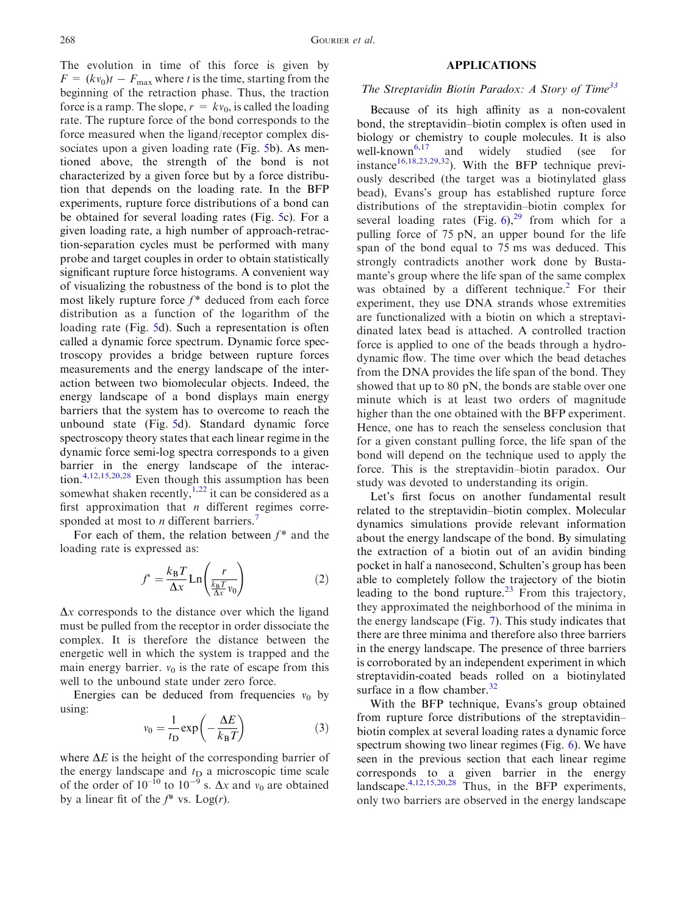The evolution in time of this force is given by  $F = (kv_0)t - F_{\text{max}}$  where t is the time, starting from the beginning of the retraction phase. Thus, the traction force is a ramp. The slope,  $r = kv_0$ , is called the loading rate. The rupture force of the bond corresponds to the force measured when the ligand/receptor complex dissociates upon a given loading rate (Fig. [5](#page-4-0)b). As mentioned above, the strength of the bond is not characterized by a given force but by a force distribution that depends on the loading rate. In the BFP experiments, rupture force distributions of a bond can be obtained for several loading rates (Fig. [5c](#page-4-0)). For a given loading rate, a high number of approach-retraction-separation cycles must be performed with many probe and target couples in order to obtain statistically significant rupture force histograms. A convenient way of visualizing the robustness of the bond is to plot the most likely rupture force  $f^*$  deduced from each force distribution as a function of the logarithm of the loading rate (Fig. [5](#page-4-0)d). Such a representation is often called a dynamic force spectrum. Dynamic force spectroscopy provides a bridge between rupture forces measurements and the energy landscape of the interaction between two biomolecular objects. Indeed, the energy landscape of a bond displays main energy barriers that the system has to overcome to reach the unbound state (Fig. [5](#page-4-0)d). Standard dynamic force spectroscopy theory states that each linear regime in the dynamic force semi-log spectra corresponds to a given barrier in the energy landscape of the interaction.[4,12,15,20,28](#page-12-0) Even though this assumption has been somewhat shaken recently,<sup>[1,](#page-11-0)[22](#page-12-0)</sup> it can be considered as a first approximation that  $n$  different regimes corresponded at most to *n* different barriers.<sup>[7](#page-12-0)</sup>

For each of them, the relation between  $f^*$  and the loading rate is expressed as:

$$
f^* = \frac{k_B T}{\Delta x} \operatorname{Ln}\left(\frac{r}{\frac{k_B T}{\Delta x} v_0}\right) \tag{2}
$$

 $\Delta x$  corresponds to the distance over which the ligand must be pulled from the receptor in order dissociate the complex. It is therefore the distance between the energetic well in which the system is trapped and the main energy barrier.  $v_0$  is the rate of escape from this well to the unbound state under zero force.

Energies can be deduced from frequencies  $v_0$  by using:  $(1 + \Lambda F)$ 

$$
v_0 = \frac{1}{t_D} \exp\left(-\frac{\Delta E}{k_B T}\right) \tag{3}
$$

where  $\Delta E$  is the height of the corresponding barrier of the energy landscape and  $t_D$  a microscopic time scale of the order of  $10^{-10}$  to  $10^{-9}$  s.  $\Delta x$  and  $v_0$  are obtained by a linear fit of the  $f^*$  vs.  $Log(r)$ .

#### APPLICATIONS

# The Streptavidin Biotin Paradox: A Story of Time<sup>[33](#page-12-0)</sup>

Because of its high affinity as a non-covalent bond, the streptavidin–biotin complex is often used in biology or chemistry to couple molecules. It is also well-known<sup>[6,17](#page-12-0)</sup> and widely studied (see for instance<sup>[16,18,23,29,32](#page-12-0)</sup>). With the BFP technique previously described (the target was a biotinylated glass bead), Evans's group has established rupture force distributions of the streptavidin–biotin complex for several loading rates (Fig.  $6$ ),<sup>[29](#page-12-0)</sup> from which for a pulling force of 75 pN, an upper bound for the life span of the bond equal to 75 ms was deduced. This strongly contradicts another work done by Bustamante's group where the life span of the same complex was obtained by a different technique.<sup>[2](#page-11-0)</sup> For their experiment, they use DNA strands whose extremities are functionalized with a biotin on which a streptavidinated latex bead is attached. A controlled traction force is applied to one of the beads through a hydrodynamic flow. The time over which the bead detaches from the DNA provides the life span of the bond. They showed that up to 80 pN, the bonds are stable over one minute which is at least two orders of magnitude higher than the one obtained with the BFP experiment. Hence, one has to reach the senseless conclusion that for a given constant pulling force, the life span of the bond will depend on the technique used to apply the force. This is the streptavidin–biotin paradox. Our study was devoted to understanding its origin.

Let's first focus on another fundamental result related to the streptavidin–biotin complex. Molecular dynamics simulations provide relevant information about the energy landscape of the bond. By simulating the extraction of a biotin out of an avidin binding pocket in half a nanosecond, Schulten's group has been able to completely follow the trajectory of the biotin leading to the bond rupture.<sup>[23](#page-12-0)</sup> From this trajectory, they approximated the neighborhood of the minima in the energy landscape (Fig. [7\)](#page-6-0). This study indicates that there are three minima and therefore also three barriers in the energy landscape. The presence of three barriers is corroborated by an independent experiment in which streptavidin-coated beads rolled on a biotinylated surface in a flow chamber. $32$ 

With the BFP technique, Evans's group obtained from rupture force distributions of the streptavidin– biotin complex at several loading rates a dynamic force spectrum showing two linear regimes (Fig. [6\)](#page-6-0). We have seen in the previous section that each linear regime corresponds to a given barrier in the energy landscape. $4,12,15,20,28$  Thus, in the BFP experiments, only two barriers are observed in the energy landscape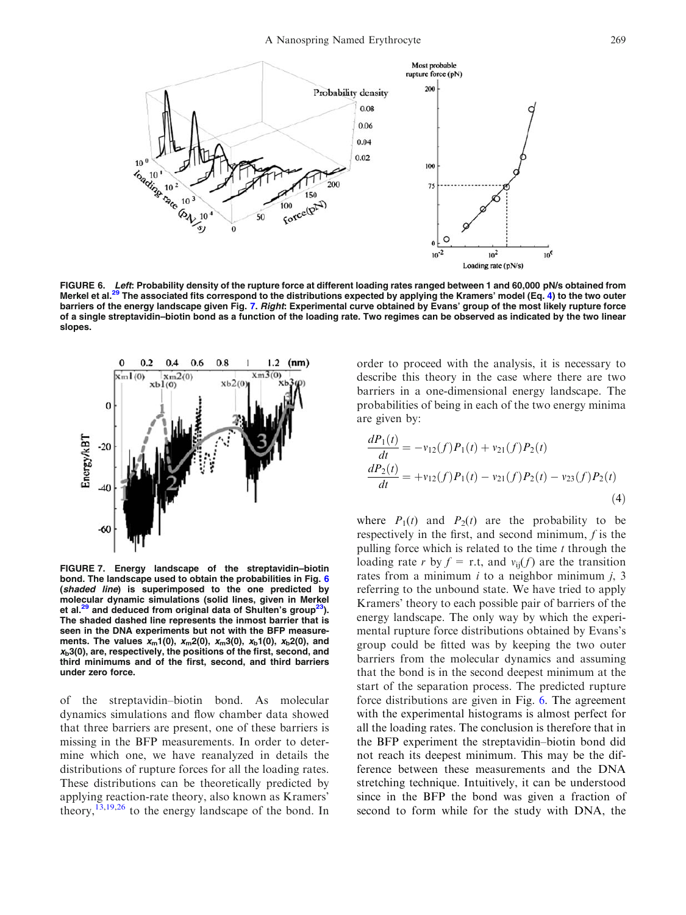<span id="page-6-0"></span>

FIGURE 6. Left: Probability density of the rupture force at different loading rates ranged between 1 and 60,000 pN/s obtained from Merkel et al.<sup>[29](#page-12-0)</sup> The associated fits correspond to the distributions expected by applying the Kramers' model (Eq. 4) to the two outer barriers of the energy landscape given Fig. 7. Right: Experimental curve obtained by Evans' group of the most likely rupture force of a single streptavidin–biotin bond as a function of the loading rate. Two regimes can be observed as indicated by the two linear slopes.



FIGURE 7. Energy landscape of the streptavidin–biotin bond. The landscape used to obtain the probabilities in Fig. 6 (shaded line) is superimposed to the one predicted by molecular dynamic simulations (solid lines, given in Merkel et al. $^{29}$  and deduced from original data of Shulten's group<sup>[23](#page-12-0)</sup>). The shaded dashed line represents the inmost barrier that is seen in the DNA experiments but not with the BFP measurements. The values  $x_m1(0)$ ,  $x_m2(0)$ ,  $x_m3(0)$ ,  $x_b1(0)$ ,  $x_b2(0)$ , and  $x<sub>b</sub>3(0)$ , are, respectively, the positions of the first, second, and third minimums and of the first, second, and third barriers under zero force.

of the streptavidin–biotin bond. As molecular dynamics simulations and flow chamber data showed that three barriers are present, one of these barriers is missing in the BFP measurements. In order to determine which one, we have reanalyzed in details the distributions of rupture forces for all the loading rates. These distributions can be theoretically predicted by applying reaction-rate theory, also known as Kramers' theory,  $^{13,19,26}$  $^{13,19,26}$  $^{13,19,26}$  to the energy landscape of the bond. In order to proceed with the analysis, it is necessary to describe this theory in the case where there are two barriers in a one-dimensional energy landscape. The probabilities of being in each of the two energy minima are given by:

$$
\frac{dP_1(t)}{dt} = -v_{12}(f)P_1(t) + v_{21}(f)P_2(t)
$$
\n
$$
\frac{dP_2(t)}{dt} = +v_{12}(f)P_1(t) - v_{21}(f)P_2(t) - v_{23}(f)P_2(t)
$$
\n(4)

where  $P_1(t)$  and  $P_2(t)$  are the probability to be respectively in the first, and second minimum,  $f$  is the pulling force which is related to the time  $t$  through the loading rate r by  $f = r.t$ , and  $v_{ii}(f)$  are the transition rates from a minimum i to a neighbor minimum  $i$ , 3 referring to the unbound state. We have tried to apply Kramers' theory to each possible pair of barriers of the energy landscape. The only way by which the experimental rupture force distributions obtained by Evans's group could be fitted was by keeping the two outer barriers from the molecular dynamics and assuming that the bond is in the second deepest minimum at the start of the separation process. The predicted rupture force distributions are given in Fig. 6. The agreement with the experimental histograms is almost perfect for all the loading rates. The conclusion is therefore that in the BFP experiment the streptavidin–biotin bond did not reach its deepest minimum. This may be the difference between these measurements and the DNA stretching technique. Intuitively, it can be understood since in the BFP the bond was given a fraction of second to form while for the study with DNA, the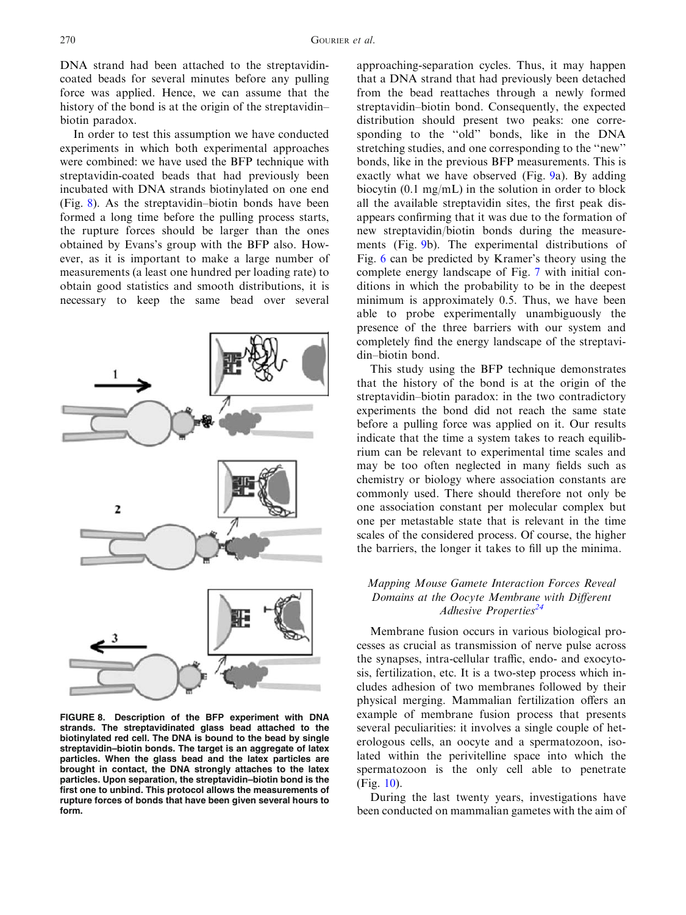DNA strand had been attached to the streptavidincoated beads for several minutes before any pulling force was applied. Hence, we can assume that the history of the bond is at the origin of the streptavidin– biotin paradox.

In order to test this assumption we have conducted experiments in which both experimental approaches were combined: we have used the BFP technique with streptavidin-coated beads that had previously been incubated with DNA strands biotinylated on one end (Fig. 8). As the streptavidin–biotin bonds have been formed a long time before the pulling process starts, the rupture forces should be larger than the ones obtained by Evans's group with the BFP also. However, as it is important to make a large number of measurements (a least one hundred per loading rate) to obtain good statistics and smooth distributions, it is necessary to keep the same bead over several



FIGURE 8. Description of the BFP experiment with DNA strands. The streptavidinated glass bead attached to the biotinylated red cell. The DNA is bound to the bead by single streptavidin–biotin bonds. The target is an aggregate of latex particles. When the glass bead and the latex particles are brought in contact, the DNA strongly attaches to the latex particles. Upon separation, the streptavidin–biotin bond is the first one to unbind. This protocol allows the measurements of rupture forces of bonds that have been given several hours to form.

approaching-separation cycles. Thus, it may happen that a DNA strand that had previously been detached from the bead reattaches through a newly formed streptavidin–biotin bond. Consequently, the expected distribution should present two peaks: one corresponding to the ''old'' bonds, like in the DNA stretching studies, and one corresponding to the ''new'' bonds, like in the previous BFP measurements. This is exactly what we have observed (Fig. [9a](#page-8-0)). By adding biocytin (0.1 mg/mL) in the solution in order to block all the available streptavidin sites, the first peak disappears confirming that it was due to the formation of new streptavidin/biotin bonds during the measurements (Fig. [9b](#page-8-0)). The experimental distributions of Fig. [6](#page-6-0) can be predicted by Kramer's theory using the complete energy landscape of Fig. [7](#page-6-0) with initial conditions in which the probability to be in the deepest minimum is approximately 0.5. Thus, we have been able to probe experimentally unambiguously the presence of the three barriers with our system and completely find the energy landscape of the streptavidin–biotin bond.

This study using the BFP technique demonstrates that the history of the bond is at the origin of the streptavidin–biotin paradox: in the two contradictory experiments the bond did not reach the same state before a pulling force was applied on it. Our results indicate that the time a system takes to reach equilibrium can be relevant to experimental time scales and may be too often neglected in many fields such as chemistry or biology where association constants are commonly used. There should therefore not only be one association constant per molecular complex but one per metastable state that is relevant in the time scales of the considered process. Of course, the higher the barriers, the longer it takes to fill up the minima.

# Mapping Mouse Gamete Interaction Forces Reveal Domains at the Oocyte Membrane with Different Adhesive Properties<sup>[24](#page-12-0)</sup>

Membrane fusion occurs in various biological processes as crucial as transmission of nerve pulse across the synapses, intra-cellular traffic, endo- and exocytosis, fertilization, etc. It is a two-step process which includes adhesion of two membranes followed by their physical merging. Mammalian fertilization offers an example of membrane fusion process that presents several peculiarities: it involves a single couple of heterologous cells, an oocyte and a spermatozoon, isolated within the perivitelline space into which the spermatozoon is the only cell able to penetrate (Fig. [10\)](#page-8-0).

During the last twenty years, investigations have been conducted on mammalian gametes with the aim of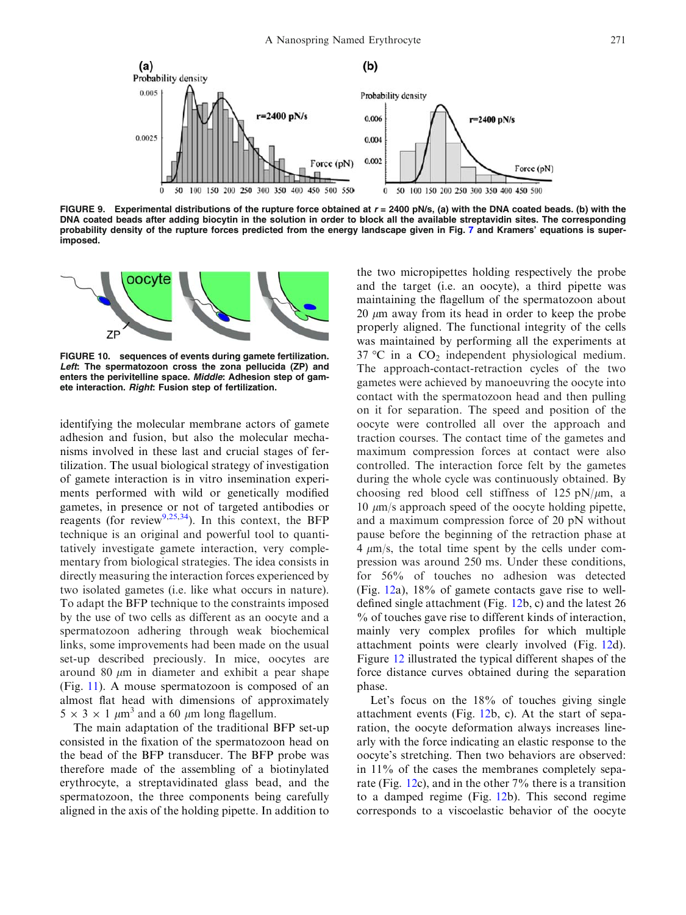<span id="page-8-0"></span>

FIGURE 9. Experimental distributions of the rupture force obtained at  $r = 2400$  pN/s, (a) with the DNA coated beads. (b) with the DNA coated beads after adding biocytin in the solution in order to block all the available streptavidin sites. The corresponding probability density of the rupture forces predicted from the energy landscape given in Fig. [7](#page-6-0) and Kramers' equations is superimposed.



FIGURE 10. sequences of events during gamete fertilization. Left: The spermatozoon cross the zona pellucida (ZP) and enters the perivitelline space. Middle: Adhesion step of gamete interaction. Right: Fusion step of fertilization.

identifying the molecular membrane actors of gamete adhesion and fusion, but also the molecular mechanisms involved in these last and crucial stages of fertilization. The usual biological strategy of investigation of gamete interaction is in vitro insemination experiments performed with wild or genetically modified gametes, in presence or not of targeted antibodies or reagents (for review<sup>[9,25,34](#page-12-0)</sup>). In this context, the BFP technique is an original and powerful tool to quantitatively investigate gamete interaction, very complementary from biological strategies. The idea consists in directly measuring the interaction forces experienced by two isolated gametes (i.e. like what occurs in nature). To adapt the BFP technique to the constraints imposed by the use of two cells as different as an oocyte and a spermatozoon adhering through weak biochemical links, some improvements had been made on the usual set-up described preciously. In mice, oocytes are around 80  $\mu$ m in diameter and exhibit a pear shape (Fig. [11\)](#page-9-0). A mouse spermatozoon is composed of an almost flat head with dimensions of approximately  $5 \times 3 \times 1 \mu m^3$  and a 60  $\mu$ m long flagellum.

The main adaptation of the traditional BFP set-up consisted in the fixation of the spermatozoon head on the bead of the BFP transducer. The BFP probe was therefore made of the assembling of a biotinylated erythrocyte, a streptavidinated glass bead, and the spermatozoon, the three components being carefully aligned in the axis of the holding pipette. In addition to

the two micropipettes holding respectively the probe and the target (i.e. an oocyte), a third pipette was maintaining the flagellum of the spermatozoon about 20  $\mu$ m away from its head in order to keep the probe properly aligned. The functional integrity of the cells was maintained by performing all the experiments at 37 °C in a  $CO<sub>2</sub>$  independent physiological medium. The approach-contact-retraction cycles of the two gametes were achieved by manoeuvring the oocyte into contact with the spermatozoon head and then pulling on it for separation. The speed and position of the oocyte were controlled all over the approach and traction courses. The contact time of the gametes and maximum compression forces at contact were also controlled. The interaction force felt by the gametes during the whole cycle was continuously obtained. By choosing red blood cell stiffness of 125 pN/ $\mu$ m, a 10  $\mu$ m/s approach speed of the oocyte holding pipette, and a maximum compression force of 20 pN without pause before the beginning of the retraction phase at  $4 \mu m/s$ , the total time spent by the cells under compression was around 250 ms. Under these conditions, for 56% of touches no adhesion was detected (Fig. [12a](#page-9-0)), 18% of gamete contacts gave rise to welldefined single attachment (Fig. [12b](#page-9-0), c) and the latest 26 % of touches gave rise to different kinds of interaction, mainly very complex profiles for which multiple attachment points were clearly involved (Fig. [12d](#page-9-0)). Figure [12](#page-9-0) illustrated the typical different shapes of the force distance curves obtained during the separation phase.

Let's focus on the 18% of touches giving single attachment events (Fig.  $12b$ , c). At the start of separation, the oocyte deformation always increases linearly with the force indicating an elastic response to the oocyte's stretching. Then two behaviors are observed: in 11% of the cases the membranes completely sepa-rate (Fig. [12](#page-9-0)c), and in the other  $7\%$  there is a transition to a damped regime (Fig. [12](#page-9-0)b). This second regime corresponds to a viscoelastic behavior of the oocyte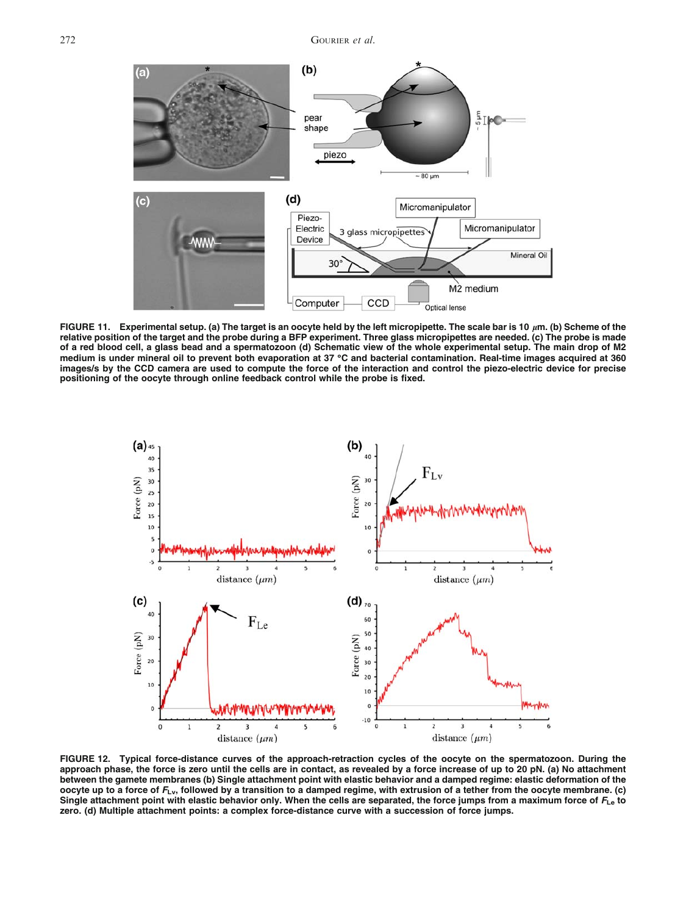<span id="page-9-0"></span>

FIGURE 11. Experimental setup. (a) The target is an oocyte held by the left micropipette. The scale bar is 10  $\mu$ m. (b) Scheme of the relative position of the target and the probe during a BFP experiment. Three glass micropipettes are needed. (c) The probe is made of a red blood cell, a glass bead and a spermatozoon (d) Schematic view of the whole experimental setup. The main drop of M2 medium is under mineral oil to prevent both evaporation at 37 °C and bacterial contamination. Real-time images acquired at 360 images/s by the CCD camera are used to compute the force of the interaction and control the piezo-electric device for precise positioning of the oocyte through online feedback control while the probe is fixed.



FIGURE 12. Typical force-distance curves of the approach-retraction cycles of the oocyte on the spermatozoon. During the approach phase, the force is zero until the cells are in contact, as revealed by a force increase of up to 20 pN. (a) No attachment between the gamete membranes (b) Single attachment point with elastic behavior and a damped regime: elastic deformation of the oocyte up to a force of  $F_{Lv}$ , followed by a transition to a damped regime, with extrusion of a tether from the oocyte membrane. (c) Single attachment point with elastic behavior only. When the cells are separated, the force jumps from a maximum force of  $F_{Le}$  to zero. (d) Multiple attachment points: a complex force-distance curve with a succession of force jumps.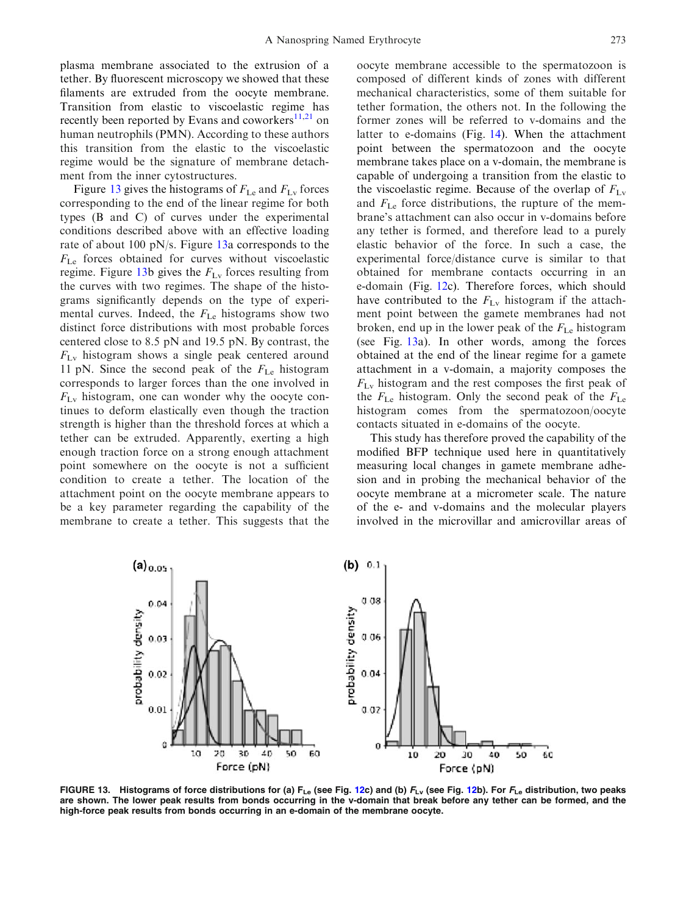plasma membrane associated to the extrusion of a tether. By fluorescent microscopy we showed that these filaments are extruded from the oocyte membrane. Transition from elastic to viscoelastic regime has recently been reported by Evans and coworkers $11,21$  on human neutrophils (PMN). According to these authors this transition from the elastic to the viscoelastic regime would be the signature of membrane detachment from the inner cytostructures.

Figure 13 gives the histograms of  $F_{\text{Le}}$  and  $F_{\text{Lv}}$  forces corresponding to the end of the linear regime for both types (B and C) of curves under the experimental conditions described above with an effective loading rate of about 100 pN/s. Figure 13a corresponds to the  $F_{\text{Le}}$  forces obtained for curves without viscoelastic regime. Figure 13b gives the  $F_{\text{Lv}}$  forces resulting from the curves with two regimes. The shape of the histograms significantly depends on the type of experimental curves. Indeed, the  $F_{\text{Le}}$  histograms show two distinct force distributions with most probable forces centered close to 8.5 pN and 19.5 pN. By contrast, the  $F_{\text{Lv}}$  histogram shows a single peak centered around 11 pN. Since the second peak of the  $F_{\text{Le}}$  histogram corresponds to larger forces than the one involved in  $F_{\text{Lv}}$  histogram, one can wonder why the oocyte continues to deform elastically even though the traction strength is higher than the threshold forces at which a tether can be extruded. Apparently, exerting a high enough traction force on a strong enough attachment point somewhere on the oocyte is not a sufficient condition to create a tether. The location of the attachment point on the oocyte membrane appears to be a key parameter regarding the capability of the membrane to create a tether. This suggests that the

(a)  $_{0.05}$ 

0.04

0.03

 $0.02$ 

oocyte membrane accessible to the spermatozoon is composed of different kinds of zones with different mechanical characteristics, some of them suitable for tether formation, the others not. In the following the former zones will be referred to v-domains and the latter to e-domains (Fig.  $14$ ). When the attachment point between the spermatozoon and the oocyte membrane takes place on a v-domain, the membrane is capable of undergoing a transition from the elastic to the viscoelastic regime. Because of the overlap of  $F_{L_y}$ and  $F_{\text{Le}}$  force distributions, the rupture of the membrane's attachment can also occur in v-domains before any tether is formed, and therefore lead to a purely elastic behavior of the force. In such a case, the experimental force/distance curve is similar to that obtained for membrane contacts occurring in an e-domain (Fig. [12c](#page-9-0)). Therefore forces, which should have contributed to the  $F_{Lv}$  histogram if the attachment point between the gamete membranes had not broken, end up in the lower peak of the  $F_{\text{Le}}$  histogram (see Fig. 13a). In other words, among the forces obtained at the end of the linear regime for a gamete attachment in a v-domain, a majority composes the  $F_{Lv}$  histogram and the rest composes the first peak of the  $F_{\text{Le}}$  histogram. Only the second peak of the  $F_{\text{Le}}$ histogram comes from the spermatozoon/oocyte contacts situated in e-domains of the oocyte.

This study has therefore proved the capability of the modified BFP technique used here in quantitatively measuring local changes in gamete membrane adhesion and in probing the mechanical behavior of the oocyte membrane at a micrometer scale. The nature of the e- and v-domains and the molecular players involved in the microvillar and amicrovillar areas of



FIGURE 13. Histograms of force distributions for (a)  $F_{Le}$  (see Fig. [12c](#page-9-0)) and (b)  $F_{Li}$  (see Fig. [12b](#page-9-0)). For  $F_{Le}$  distribution, two peaks are shown. The lower peak results from bonds occurring in the v-domain that break before any tether can be formed, and the high-force peak results from bonds occurring in an e-domain of the membrane oocyte.

 $(b) 0.1$ 

 $0.08$ 

 $006$ 

 $0.04$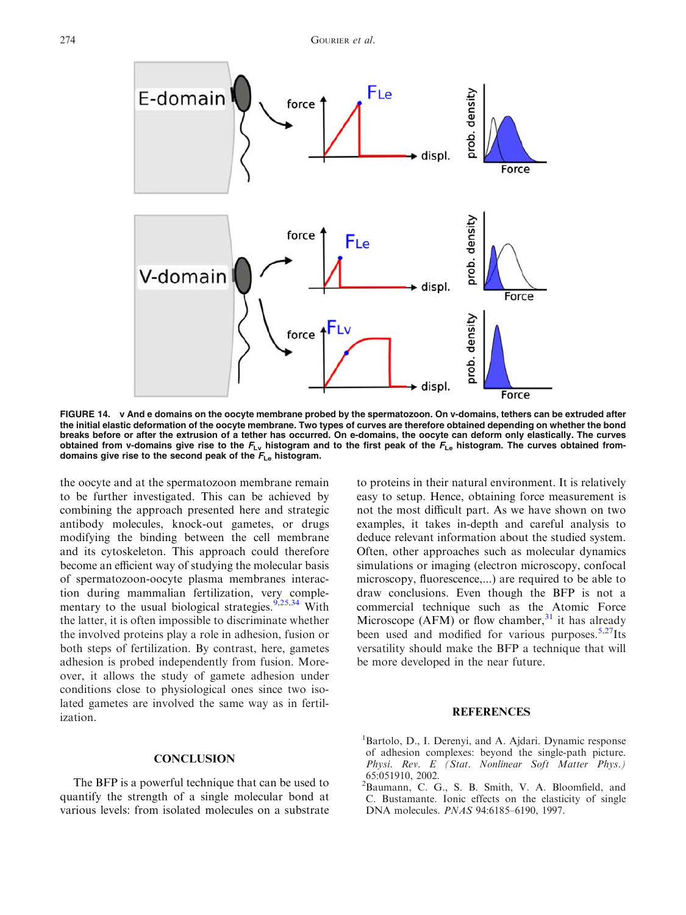<span id="page-11-0"></span>

FIGURE 14. v And e domains on the oocyte membrane probed by the spermatozoon. On v-domains, tethers can be extruded after the initial elastic deformation of the oocyte membrane. Two types of curves are therefore obtained depending on whether the bond breaks before or after the extrusion of a tether has occurred. On e-domains, the oocyte can deform only elastically. The curves obtained from v-domains give rise to the  $F_{Lv}$  histogram and to the first peak of the  $F_{Lv}$  histogram. The curves obtained fromdomains give rise to the second peak of the  $F_{\text{Le}}$  histogram.

the oocyte and at the spermatozoon membrane remain to be further investigated. This can be achieved by combining the approach presented here and strategic antibody molecules, knock-out gametes, or drugs modifying the binding between the cell membrane and its cytoskeleton. This approach could therefore become an efficient way of studying the molecular basis of spermatozoon-oocyte plasma membranes interaction during mammalian fertilization, very complementary to the usual biological strategies.  $9,25,34$  With the latter, it is often impossible to discriminate whether the involved proteins play a role in adhesion, fusion or both steps of fertilization. By contrast, here, gametes adhesion is probed independently from fusion. Moreover, it allows the study of gamete adhesion under conditions close to physiological ones since two isolated gametes are involved the same way as in fertilization.

#### **CONCLUSION**

The BFP is a powerful technique that can be used to quantify the strength of a single molecular bond at various levels: from isolated molecules on a substrate to proteins in their natural environment. It is relatively easy to setup. Hence, obtaining force measurement is not the most difficult part. As we have shown on two examples, it takes in-depth and careful analysis to deduce relevant information about the studied system. Often, other approaches such as molecular dynamics simulations or imaging (electron microscopy, confocal microscopy, fluorescence,...) are required to be able to draw conclusions. Even though the BFP is not a commercial technique such as the Atomic Force Microscope (AFM) or flow chamber, $31$  it has already been used and modified for various purposes.<sup>[5,27](#page-12-0)</sup>Its versatility should make the BFP a technique that will be more developed in the near future.

# **REFERENCES**

- <sup>1</sup>Bartolo, D., I. Derenyi, and A. Ajdari. Dynamic response of adhesion complexes: beyond the single-path picture. Physi. Rev. E (Stat. Nonlinear Soft Matter Phys.) 65:051910, 2002.
- <sup>2</sup>Baumann, C. G., S. B. Smith, V. A. Bloomfield, and C. Bustamante. Ionic effects on the elasticity of single DNA molecules. PNAS 94:6185–6190, 1997.